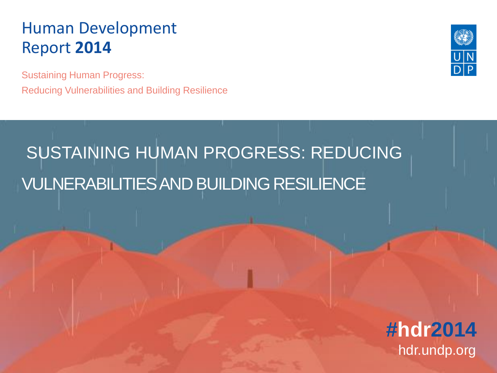Sustaining Human Progress: Reducing Vulnerabilities and Building Resilience



# SUSTAINING HUMAN PROGRESS: REDUCING VULNERABILITIES AND BUILDING RESILIENCE

**#hdr2014** hdr.undp.org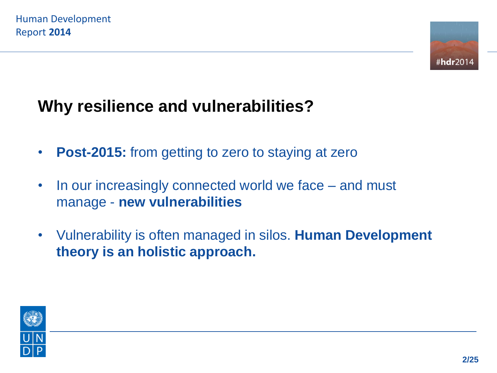

#### **Why resilience and vulnerabilities?**

- **Post-2015:** from getting to zero to staying at zero
- In our increasingly connected world we face and must manage - **new vulnerabilities**
- Vulnerability is often managed in silos. **Human Development theory is an holistic approach.**

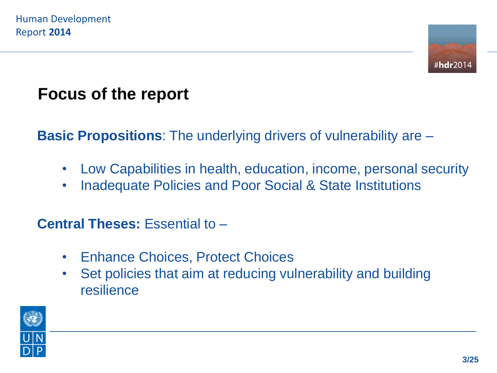

#### **Focus of the report**

**Basic Propositions**: The underlying drivers of vulnerability are –

- Low Capabilities in health, education, income, personal security
- Inadequate Policies and Poor Social & State Institutions

#### **Central Theses:** Essential to –

- Enhance Choices, Protect Choices
- Set policies that aim at reducing vulnerability and building resilience

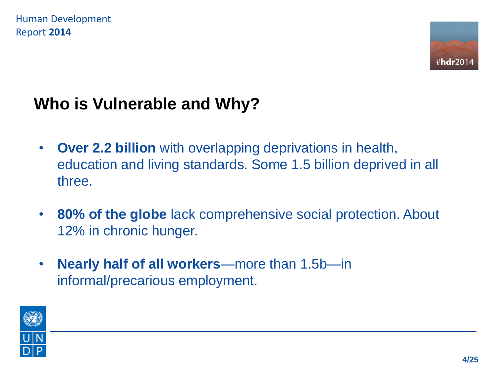

#### **Who is Vulnerable and Why?**

- **Over 2.2 billion** with overlapping deprivations in health, education and living standards. Some 1.5 billion deprived in all three.
- **80% of the globe** lack comprehensive social protection. About 12% in chronic hunger.
- **Nearly half of all workers**—more than 1.5b—in informal/precarious employment.

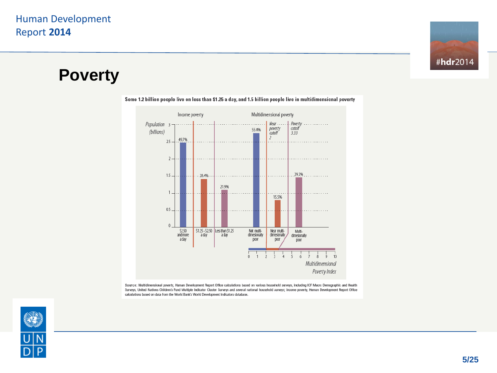

#### **Poverty**



Some 1.2 billion people live on less than \$1.25 a day, and 1.5 billion people live in multidimensional poverty

Source: Multidimensional poverty, Human Development Report Office calculations based on various household surveys, including ICF Macro Demographic and Health Surveys, United Nations Children's Fund Multiple Indicator Cluster Surveys and several national household surveys; income poverty, Human Development Report Office calculations based on data from the World Bank's World Development Indicators database.

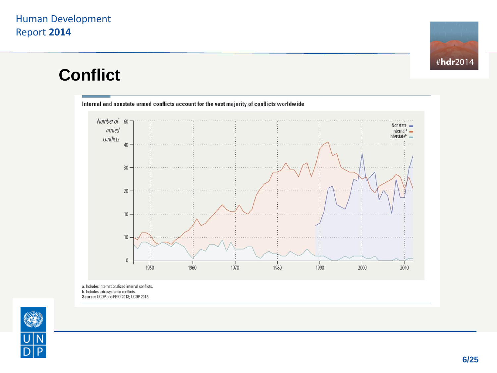

#### **Conflict**



b. Includes extrasystemic conflicts.<br>Source: UCDP and PRIO 2013; UCDP 2013.

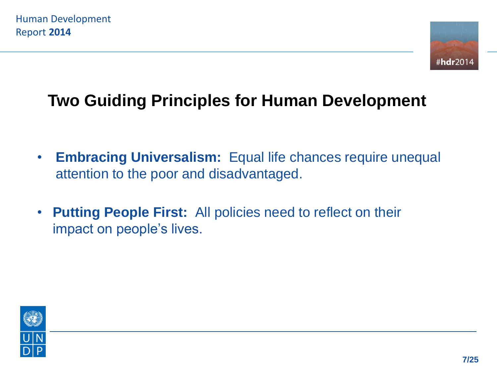

#### **Two Guiding Principles for Human Development**

- **Embracing Universalism:** Equal life chances require unequal attention to the poor and disadvantaged.
- **Putting People First:** All policies need to reflect on their impact on people's lives.

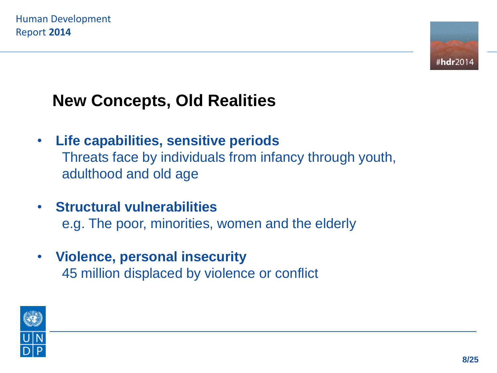

## **New Concepts, Old Realities**

- **Life capabilities, sensitive periods** Threats face by individuals from infancy through youth, adulthood and old age
- **Structural vulnerabilities** e.g. The poor, minorities, women and the elderly
- **Violence, personal insecurity** 45 million displaced by violence or conflict

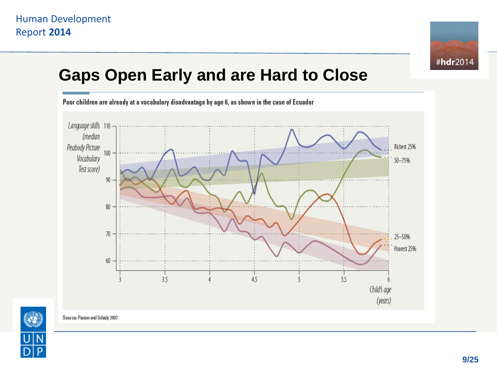

#### **Gaps Open Early and are Hard to Close**





Source: Paxson and Schady 2007.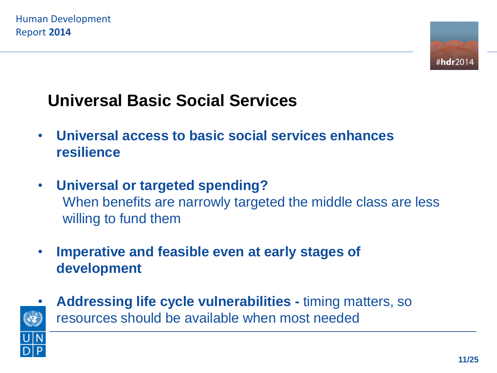

#### **Universal Basic Social Services**

- **Universal access to basic social services enhances resilience**
- **Universal or targeted spending?** When benefits are narrowly targeted the middle class are less willing to fund them
- **Imperative and feasible even at early stages of development**



• **Addressing life cycle vulnerabilities -** timing matters, so resources should be available when most needed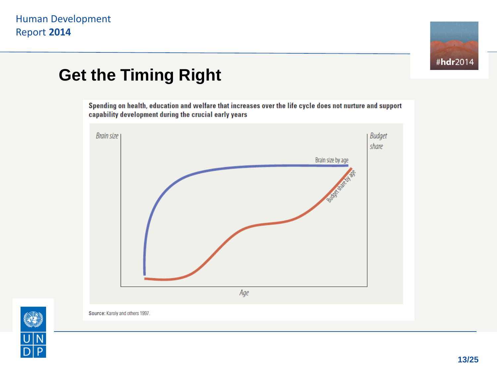

#### **Get the Timing Right**

Spending on health, education and welfare that increases over the life cycle does not nurture and support capability development during the crucial early years



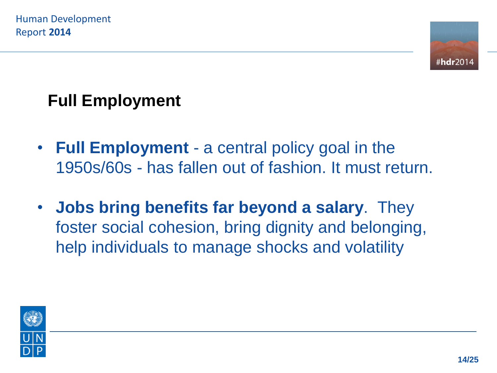

### **Full Employment**

- **Full Employment** a central policy goal in the 1950s/60s - has fallen out of fashion. It must return.
- **Jobs bring benefits far beyond a salary**. They foster social cohesion, bring dignity and belonging, help individuals to manage shocks and volatility

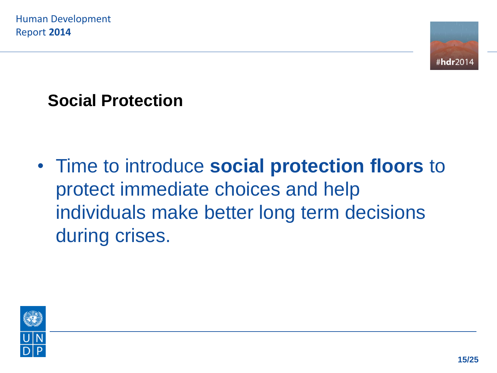

#### **Social Protection**

• Time to introduce **social protection floors** to protect immediate choices and help individuals make better long term decisions during crises.

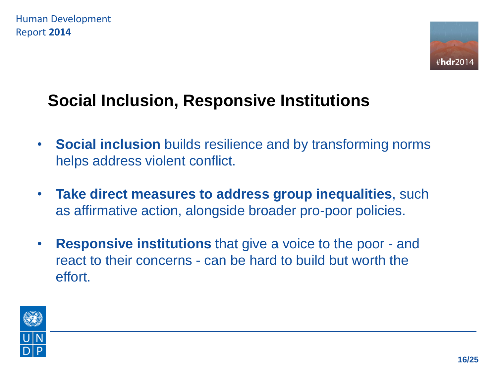

#### **Social Inclusion, Responsive Institutions**

- **Social inclusion** builds resilience and by transforming norms helps address violent conflict.
- **Take direct measures to address group inequalities**, such as affirmative action, alongside broader pro-poor policies.
- **Responsive institutions** that give a voice to the poor and react to their concerns - can be hard to build but worth the effort.

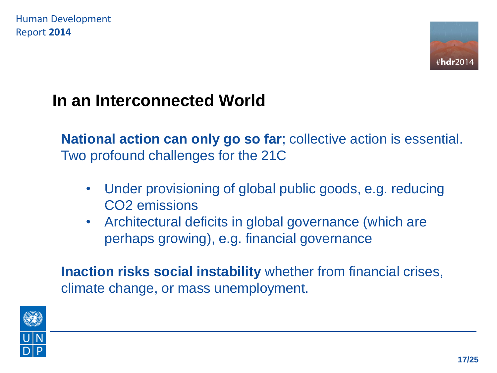

#### **In an Interconnected World**

**National action can only go so far**; collective action is essential. Two profound challenges for the 21C

- Under provisioning of global public goods, e.g. reducing CO2 emissions
- Architectural deficits in global governance (which are perhaps growing), e.g. financial governance

**Inaction risks social instability** whether from financial crises, climate change, or mass unemployment.

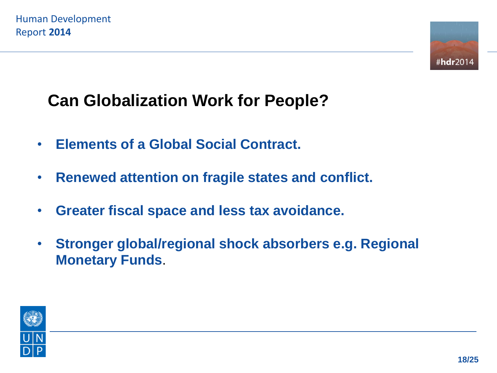

### **Can Globalization Work for People?**

- **Elements of a Global Social Contract.**
- **Renewed attention on fragile states and conflict.**
- **Greater fiscal space and less tax avoidance.**
- **Stronger global/regional shock absorbers e.g. Regional Monetary Funds**.

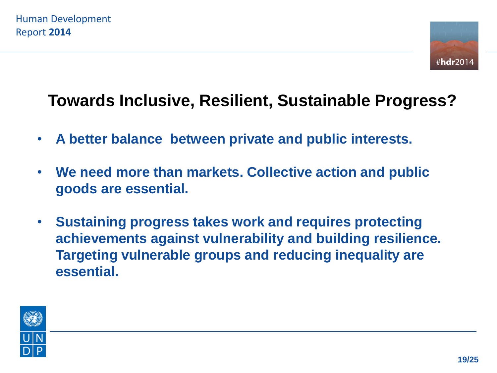

#### **Towards Inclusive, Resilient, Sustainable Progress?**

- **A better balance between private and public interests.**
- **We need more than markets. Collective action and public goods are essential.**
- **Sustaining progress takes work and requires protecting achievements against vulnerability and building resilience. Targeting vulnerable groups and reducing inequality are essential.**